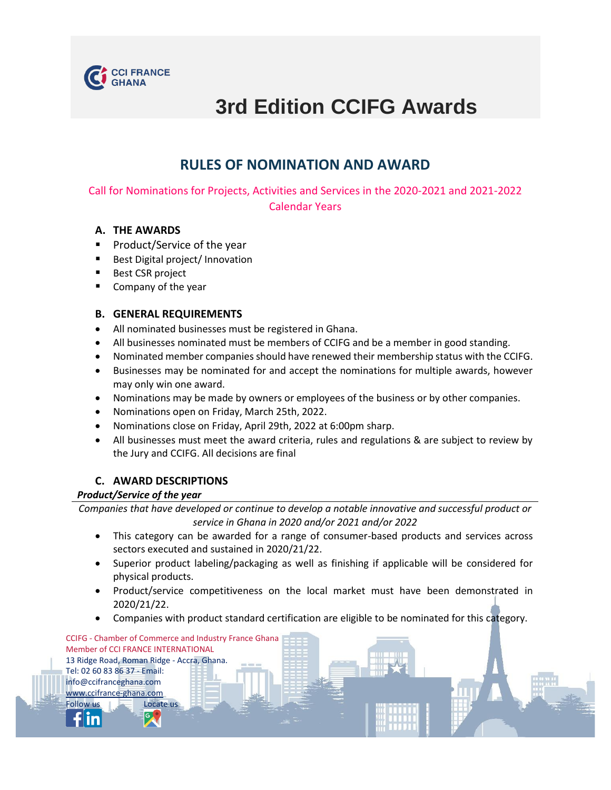

# **3rd Edition CCIFG Awards**

# **RULES OF NOMINATION AND AWARD**

Call for Nominations for Projects, Activities and Services in the 2020-2021 and 2021-2022 Calendar Years

## **A. THE AWARDS**

- Product/Service of the year
- Best Digital project/ Innovation
- Best CSR project
- Company of the year

## **B. GENERAL REQUIREMENTS**

- All nominated businesses must be registered in Ghana.
- All businesses nominated must be members of CCIFG and be a member in good standing.
- Nominated member companies should have renewed their membership status with the CCIFG.
- Businesses may be nominated for and accept the nominations for multiple awards, however may only win one award.
- Nominations may be made by owners or employees of the business or by other companies.
- Nominations open on Friday, March 25th, 2022.
- Nominations close on Friday, April 29th, 2022 at 6:00pm sharp.
- All businesses must meet the award criteria, rules and regulations & are subject to review by the Jury and CCIFG. All decisions are final

## **C. AWARD DESCRIPTIONS**

CCIFG - Chamber of Commerce and Industry France Ghana

#### *Product/Service of the year*

Member of CCI FRANCE INTERNATIONAL 13 Ridge Road, Roman Ridge - Accra, Ghana.

Tel: 02 60 83 86 37 - Email: [info@ccifranceghana.com](mailto:ccifranceghana@gmail.com) [www.ccifrance-ghana.com](http://www.ccifrance-ghana.com/) Follow us **Locate** us

*Companies that have developed or continue to develop a notable innovative and successful product or service in Ghana in 2020 and/or 2021 and/or 2022*

- This category can be awarded for a range of consumer-based products and services across sectors executed and sustained in 2020/21/22.
- Superior product labeling/packaging as well as finishing if applicable will be considered for physical products.
- Product/service competitiveness on the local market must have been demonstrated in 2020/21/22.
- Companies with product standard certification are eligible to be nominated for this category.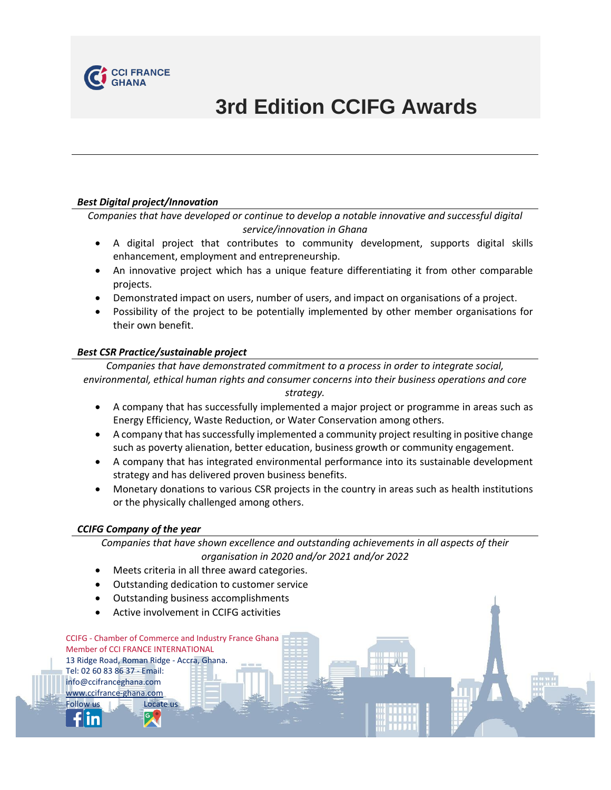

# **3rd Edition CCIFG Awards**

#### *Best Digital project/Innovation*

*Companies that have developed or continue to develop a notable innovative and successful digital service/innovation in Ghana*

- A digital project that contributes to community development, supports digital skills enhancement, employment and entrepreneurship.
- An innovative project which has a unique feature differentiating it from other comparable projects.
- Demonstrated impact on users, number of users, and impact on organisations of a project.
- Possibility of the project to be potentially implemented by other member organisations for their own benefit.

#### *Best CSR Practice/sustainable project*

*Companies that have demonstrated commitment to a process in order to integrate social, environmental, ethical human rights and consumer concerns into their business operations and core* 

*strategy.*

- A company that has successfully implemented a major project or programme in areas such as Energy Efficiency, Waste Reduction, or Water Conservation among others.
- A company that has successfully implemented a community project resulting in positive change such as poverty alienation, better education, business growth or community engagement.
- A company that has integrated environmental performance into its sustainable development strategy and has delivered proven business benefits.
- Monetary donations to various CSR projects in the country in areas such as health institutions or the physically challenged among others.

#### *CCIFG Company of the year*

Member of CCI FRANCE INTERNATIONAL 13 Ridge Road, Roman Ridge - Accra, Ghana.

Tel: 02 60 83 86 37 - Email: [info@ccifranceghana.com](mailto:ccifranceghana@gmail.com) [www.ccifrance-ghana.com](http://www.ccifrance-ghana.com/) Follow us Locate us

*Companies that have shown excellence and outstanding achievements in all aspects of their organisation in 2020 and/or 2021 and/or 2022*

- Meets criteria in all three award categories.
- Outstanding dedication to customer service
- Outstanding business accomplishments
- Active involvement in CCIFG activities

CCIFG - Chamber of Commerce and Industry France Ghana